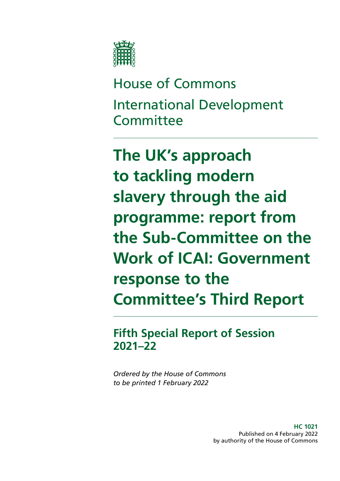

House of Commons International Development **Committee** 

**The UK's approach to tackling modern slavery through the aid programme: report from the Sub-Committee on the Work of ICAI: Government response to the Committee's Third Report**

**Fifth Special Report of Session 2021–22**

*Ordered by the House of Commons to be printed 1 February 2022*

> **HC 1021** Published on 4 February 2022 by authority of the House of Commons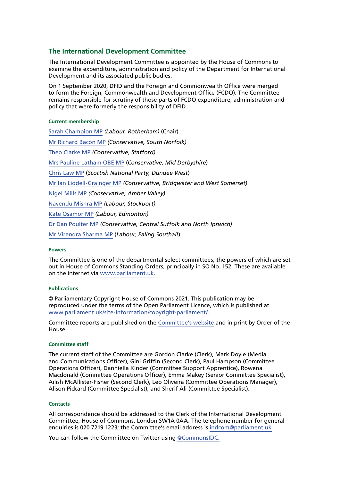#### **The International Development Committee**

The International Development Committee is appointed by the House of Commons to examine the expenditure, administration and policy of the Department for International Development and its associated public bodies.

On 1 September 2020, DFID and the Foreign and Commonwealth Office were merged to form the Foreign, Commonwealth and Development Office (FCDO). The Committee remains responsible for scrutiny of those parts of FCDO expenditure, administration and policy that were formerly the responsibility of DFID.

#### **Current membership**

[Sarah Champion MP](https://members.parliament.uk/member/4267/contact) *(Labour, Rotherham)* (Chair) [Mr Richard Bacon MP](https://members.parliament.uk/member/1451/contact) *(Conservative, South Norfolk)* [Theo Clarke MP](https://members.parliament.uk/member/4819/contact) *(Conservative, Stafford)* [Mrs Pauline Latham OBE MP](https://www.parliament.uk/biographies/commons/mrs-pauline-latham/4025) (*Conservative, Mid Derbyshire*) [Chris Law MP](https://www.parliament.uk/biographies/commons/chris-law/4403) (*Scottish National Party, Dundee West*) [Mr Ian Liddell-Grainger MP](https://members.parliament.uk/member/1396/contact) *(Conservative, Bridgwater and West Somerset)* [Nigel Mills MP](https://members.parliament.uk/member/4136/contact) *(Conservative, Amber Valley)* [Navendu Mishra MP](https://members.parliament.uk/member/4811/contact) *(Labour, Stockport)* [Kate Osamor MP](https://members.parliament.uk/member/4515/contact) *(Labour, Edmonton)* [Dr Dan Poulter MP](https://members.parliament.uk/member/3932/contact) *(Conservative, Central Suffolk and North Ipswich)* [Mr Virendra Sharma MP](https://www.parliament.uk/biographies/commons/mr-virendra-sharma/1604) (*Labour, Ealing Southall*)

#### **Powers**

The Committee is one of the departmental select committees, the powers of which are set out in House of Commons Standing Orders, principally in SO No. 152. These are available on the internet via [www.parliament.uk.](http://www.parliament.uk)

#### **Publications**

© Parliamentary Copyright House of Commons 2021. This publication may be reproduced under the terms of the Open Parliament Licence, which is published at [www.parliament.uk/site-information/copyright-parliament/](https://www.parliament.uk/site-information/copyright-parliament/).

Committee reports are published on the [Committee's website](http://www.parliament.uk/business/committees/committees-a-z/commons-select/international-development-committee/) and in print by Order of the House.

#### **Committee staff**

The current staff of the Committee are Gordon Clarke (Clerk), Mark Doyle (Media and Communications Officer), Gini Griffin (Second Clerk), Paul Hampson (Committee Operations Officer), Danniella Kinder (Committee Support Apprentice), Rowena Macdonald (Committee Operations Officer), Emma Makey (Senior Committee Specialist), Ailish McAllister-Fisher (Second Clerk), Leo Oliveira (Committee Operations Manager), Alison Pickard (Committee Specialist), and Sherif Ali (Committee Specialist).

#### **Contacts**

All correspondence should be addressed to the Clerk of the International Development Committee, House of Commons, London SW1A 0AA. The telephone number for general enquiries is 020 7219 1223; the Committee's email address is [indcom@parliament.uk](mailto:indcom%40parliament.uk?subject=)

You can follow the Committee on Twitter using [@CommonsIDC.](https://twitter.com/CommonsIDC?ref_src=twsrc%5Egoogle%7Ctwcamp%5Eserp%7Ctwgr%5Eauthor)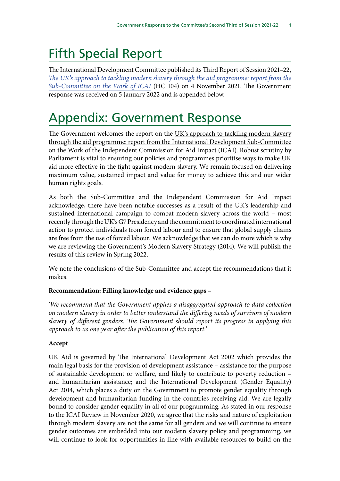# Fifth Special Report

The International Development Committee published its Third Report of Session 2021–22, *[The UK's approach to tackling modern slavery through the aid programme: report from the](https://committees.parliament.uk/publications/7734/documents/80647/default/) [Sub-Committee on the Work of ICAI](https://committees.parliament.uk/publications/7734/documents/80647/default/)* (HC 104) on 4 November 2021. The Government response was received on 5 January 2022 and is appended below.

## Appendix: Government Response

The Government welcomes the report on the UK's approach to tackling modern slavery through the aid programme: report from the International Development Sub-Committee on the Work of the Independent Commission for Aid Impact (ICAI). Robust scrutiny by Parliament is vital to ensuring our policies and programmes prioritise ways to make UK aid more effective in the fight against modern slavery. We remain focused on delivering maximum value, sustained impact and value for money to achieve this and our wider human rights goals.

As both the Sub-Committee and the Independent Commission for Aid Impact acknowledge, there have been notable successes as a result of the UK's leadership and sustained international campaign to combat modern slavery across the world – most recently through the UK's G7 Presidency and the commitment to coordinated international action to protect individuals from forced labour and to ensure that global supply chains are free from the use of forced labour. We acknowledge that we can do more which is why we are reviewing the Government's Modern Slavery Strategy (2014). We will publish the results of this review in Spring 2022.

We note the conclusions of the Sub-Committee and accept the recommendations that it makes.

## **Recommendation: Filling knowledge and evidence gaps –**

*'We recommend that the Government applies a disaggregated approach to data collection on modern slavery in order to better understand the differing needs of survivors of modern slavery of different genders. The Government should report its progress in applying this approach to us one year after the publication of this report.'*

## **Accept**

UK Aid is governed by The International Development Act 2002 which provides the main legal basis for the provision of development assistance – assistance for the purpose of sustainable development or welfare, and likely to contribute to poverty reduction – and humanitarian assistance; and the International Development (Gender Equality) Act 2014, which places a duty on the Government to promote gender equality through development and humanitarian funding in the countries receiving aid. We are legally bound to consider gender equality in all of our programming. As stated in our response to the ICAI Review in November 2020, we agree that the risks and nature of exploitation through modern slavery are not the same for all genders and we will continue to ensure gender outcomes are embedded into our modern slavery policy and programming, we will continue to look for opportunities in line with available resources to build on the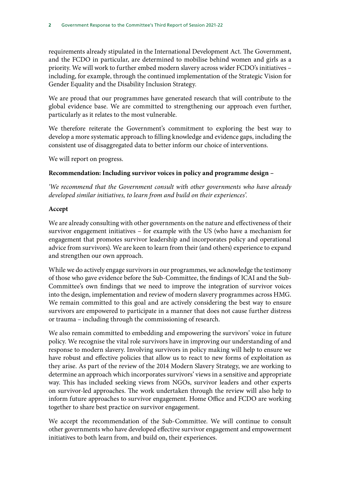requirements already stipulated in the International Development Act. The Government, and the FCDO in particular, are determined to mobilise behind women and girls as a priority. We will work to further embed modern slavery across wider FCDO's initiatives – including, for example, through the continued implementation of the Strategic Vision for Gender Equality and the Disability Inclusion Strategy.

We are proud that our programmes have generated research that will contribute to the global evidence base. We are committed to strengthening our approach even further, particularly as it relates to the most vulnerable.

We therefore reiterate the Government's commitment to exploring the best way to develop a more systematic approach to filling knowledge and evidence gaps, including the consistent use of disaggregated data to better inform our choice of interventions.

We will report on progress.

## **Recommendation: Including survivor voices in policy and programme design –**

*'We recommend that the Government consult with other governments who have already developed similar initiatives, to learn from and build on their experiences'.*

#### **Accept**

We are already consulting with other governments on the nature and effectiveness of their survivor engagement initiatives – for example with the US (who have a mechanism for engagement that promotes survivor leadership and incorporates policy and operational advice from survivors). We are keen to learn from their (and others) experience to expand and strengthen our own approach.

While we do actively engage survivors in our programmes, we acknowledge the testimony of those who gave evidence before the Sub-Committee, the findings of ICAI and the Sub-Committee's own findings that we need to improve the integration of survivor voices into the design, implementation and review of modern slavery programmes across HMG. We remain committed to this goal and are actively considering the best way to ensure survivors are empowered to participate in a manner that does not cause further distress or trauma – including through the commissioning of research.

We also remain committed to embedding and empowering the survivors' voice in future policy. We recognise the vital role survivors have in improving our understanding of and response to modern slavery. Involving survivors in policy making will help to ensure we have robust and effective policies that allow us to react to new forms of exploitation as they arise. As part of the review of the 2014 Modern Slavery Strategy, we are working to determine an approach which incorporates survivors' views in a sensitive and appropriate way. This has included seeking views from NGOs, survivor leaders and other experts on survivor-led approaches. The work undertaken through the review will also help to inform future approaches to survivor engagement. Home Office and FCDO are working together to share best practice on survivor engagement.

We accept the recommendation of the Sub-Committee. We will continue to consult other governments who have developed effective survivor engagement and empowerment initiatives to both learn from, and build on, their experiences.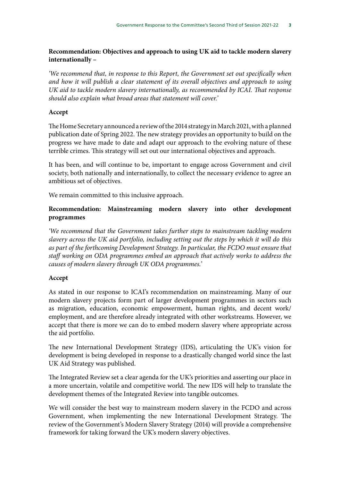#### **Recommendation: Objectives and approach to using UK aid to tackle modern slavery internationally –**

*'We recommend that, in response to this Report, the Government set out specifically when and how it will publish a clear statement of its overall objectives and approach to using UK aid to tackle modern slavery internationally, as recommended by ICAI. That response should also explain what broad areas that statement will cover.'*

#### **Accept**

The Home Secretary announced a review of the 2014 strategy in March 2021, with a planned publication date of Spring 2022. The new strategy provides an opportunity to build on the progress we have made to date and adapt our approach to the evolving nature of these terrible crimes. This strategy will set out our international objectives and approach.

It has been, and will continue to be, important to engage across Government and civil society, both nationally and internationally, to collect the necessary evidence to agree an ambitious set of objectives.

We remain committed to this inclusive approach.

## **Recommendation: Mainstreaming modern slavery into other development programmes**

*'We recommend that the Government takes further steps to mainstream tackling modern slavery across the UK aid portfolio, including setting out the steps by which it will do this as part of the forthcoming Development Strategy. In particular, the FCDO must ensure that staff working on ODA programmes embed an approach that actively works to address the causes of modern slavery through UK ODA programmes.'*

#### **Accept**

As stated in our response to ICAI's recommendation on mainstreaming. Many of our modern slavery projects form part of larger development programmes in sectors such as migration, education, economic empowerment, human rights, and decent work/ employment, and are therefore already integrated with other workstreams. However, we accept that there is more we can do to embed modern slavery where appropriate across the aid portfolio.

The new International Development Strategy (IDS), articulating the UK's vision for development is being developed in response to a drastically changed world since the last UK Aid Strategy was published.

The Integrated Review set a clear agenda for the UK's priorities and asserting our place in a more uncertain, volatile and competitive world. The new IDS will help to translate the development themes of the Integrated Review into tangible outcomes.

We will consider the best way to mainstream modern slavery in the FCDO and across Government, when implementing the new International Development Strategy. The review of the Government's Modern Slavery Strategy (2014) will provide a comprehensive framework for taking forward the UK's modern slavery objectives.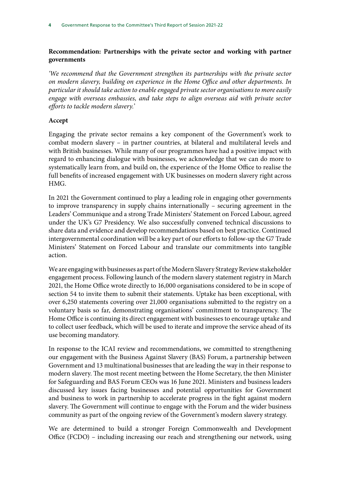## **Recommendation: Partnerships with the private sector and working with partner governments**

*'We recommend that the Government strengthen its partnerships with the private sector on modern slavery, building on experience in the Home Office and other departments. In particular it should take action to enable engaged private sector organisations to more easily engage with overseas embassies, and take steps to align overseas aid with private sector efforts to tackle modern slavery.'*

#### **Accept**

Engaging the private sector remains a key component of the Government's work to combat modern slavery – in partner countries, at bilateral and multilateral levels and with British businesses. While many of our programmes have had a positive impact with regard to enhancing dialogue with businesses, we acknowledge that we can do more to systematically learn from, and build on, the experience of the Home Office to realise the full benefits of increased engagement with UK businesses on modern slavery right across HMG.

In 2021 the Government continued to play a leading role in engaging other governments to improve transparency in supply chains internationally – securing agreement in the Leaders' Communique and a strong Trade Ministers' Statement on Forced Labour, agreed under the UK's G7 Presidency. We also successfully convened technical discussions to share data and evidence and develop recommendations based on best practice. Continued intergovernmental coordination will be a key part of our efforts to follow-up the G7 Trade Ministers' Statement on Forced Labour and translate our commitments into tangible action.

We are engaging with businesses as part of the Modern Slavery Strategy Review stakeholder engagement process. Following launch of the modern slavery statement registry in March 2021, the Home Office wrote directly to 16,000 organisations considered to be in scope of section 54 to invite them to submit their statements. Uptake has been exceptional, with over 6,250 statements covering over 21,000 organisations submitted to the registry on a voluntary basis so far, demonstrating organisations' commitment to transparency. The Home Office is continuing its direct engagement with businesses to encourage uptake and to collect user feedback, which will be used to iterate and improve the service ahead of its use becoming mandatory.

In response to the ICAI review and recommendations, we committed to strengthening our engagement with the Business Against Slavery (BAS) Forum, a partnership between Government and 13 multinational businesses that are leading the way in their response to modern slavery. The most recent meeting between the Home Secretary, the then Minister for Safeguarding and BAS Forum CEOs was 16 June 2021. Ministers and business leaders discussed key issues facing businesses and potential opportunities for Government and business to work in partnership to accelerate progress in the fight against modern slavery. The Government will continue to engage with the Forum and the wider business community as part of the ongoing review of the Government's modern slavery strategy.

We are determined to build a stronger Foreign Commonwealth and Development Office (FCDO) – including increasing our reach and strengthening our network, using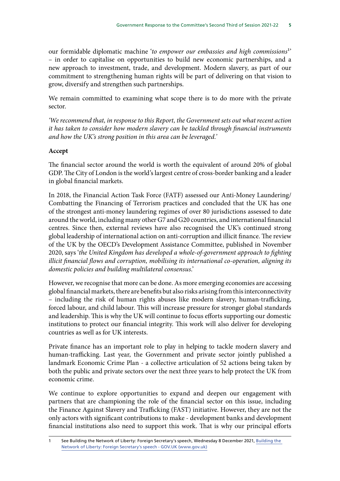our formidable diplomatic machine '*to empower our embassies and high commissions*1' – in order to capitalise on opportunities to build new economic partnerships, and a new approach to investment, trade, and development. Modern slavery, as part of our commitment to strengthening human rights will be part of delivering on that vision to grow, diversify and strengthen such partnerships.

We remain committed to examining what scope there is to do more with the private sector.

*'We recommend that, in response to this Report, the Government sets out what recent action it has taken to consider how modern slavery can be tackled through financial instruments and how the UK's strong position in this area can be leveraged.'*

#### **Accept**

The financial sector around the world is worth the equivalent of around 20% of global GDP. The City of London is the world's largest centre of cross-border banking and a leader in global financial markets.

In 2018, the Financial Action Task Force (FATF) assessed our Anti-Money Laundering/ Combatting the Financing of Terrorism practices and concluded that the UK has one of the strongest anti-money laundering regimes of over 80 jurisdictions assessed to date around the world, including many other G7 and G20 countries, and international financial centres. Since then, external reviews have also recognised the UK's continued strong global leadership of international action on anti-corruption and illicit finance. The review of the UK by the OECD's Development Assistance Committee, published in November 2020, says '*the United Kingdom has developed a whole-of-government approach to fighting illicit financial flows and corruption, mobilising its international co-operation, aligning its domestic policies and building multilateral consensus*.'

However, we recognise that more can be done. As more emerging economies are accessing global financial markets, there are benefits but also risks arising from this interconnectivity – including the risk of human rights abuses like modern slavery, human-trafficking, forced labour, and child labour. This will increase pressure for stronger global standards and leadership. This is why the UK will continue to focus efforts supporting our domestic institutions to protect our financial integrity. This work will also deliver for developing countries as well as for UK interests.

Private finance has an important role to play in helping to tackle modern slavery and human-trafficking. Last year, the Government and private sector jointly published a landmark Economic Crime Plan - a collective articulation of 52 actions being taken by both the public and private sectors over the next three years to help protect the UK from economic crime.

We continue to explore opportunities to expand and deepen our engagement with partners that are championing the role of the financial sector on this issue, including the Finance Against Slavery and Trafficking (FAST) initiative. However, they are not the only actors with significant contributions to make - development banks and development financial institutions also need to support this work. That is why our principal efforts

See [Building the](https://www.gov.uk/government/speeches/foreign-secretary-liz-truss-building-the-network-of-liberty) Network of Liberty: Foreign Secretary's speech, Wednesday 8 December 2021, Building the [Network of Liberty: Foreign Secretary's speech - GOV.UK \(www.gov.uk\)](https://www.gov.uk/government/speeches/foreign-secretary-liz-truss-building-the-network-of-liberty)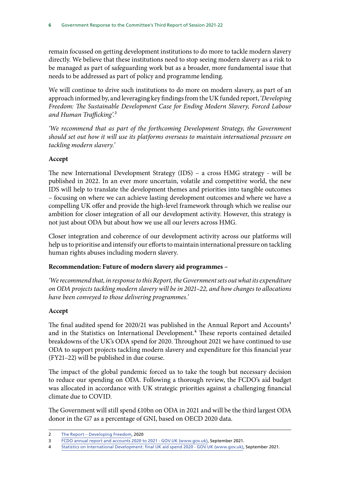remain focussed on getting development institutions to do more to tackle modern slavery directly. We believe that these institutions need to stop seeing modern slavery as a risk to be managed as part of safeguarding work but as a broader, more fundamental issue that needs to be addressed as part of policy and programme lending.

We will continue to drive such institutions to do more on modern slavery, as part of an approach informed by, and leveraging key findings from the UK funded report, '*Developing Freedom: The Sustainable Development Case for Ending Modern Slavery, Forced Labour and Human Trafficking'.*2

*'We recommend that as part of the forthcoming Development Strategy, the Government should set out how it will use its platforms overseas to maintain international pressure on tackling modern slavery.'*

#### **Accept**

The new International Development Strategy (IDS) – a cross HMG strategy - will be published in 2022. In an ever more uncertain, volatile and competitive world, the new IDS will help to translate the development themes and priorities into tangible outcomes – focusing on where we can achieve lasting development outcomes and where we have a compelling UK offer and provide the high-level framework through which we realise our ambition for closer integration of all our development activity. However, this strategy is not just about ODA but about how we use all our levers across HMG.

Closer integration and coherence of our development activity across our platforms will help us to prioritise and intensify our efforts to maintain international pressure on tackling human rights abuses including modern slavery.

#### **Recommendation: Future of modern slavery aid programmes –**

*'We recommend that, in response to this Report, the Government sets out what its expenditure on ODA projects tackling modern slavery will be in 2021–22, and how changes to allocations have been conveyed to those delivering programmes.'*

## **Accept**

The final audited spend for 2020/21 was published in the Annual Report and Accounts<sup>3</sup> and in the Statistics on International Development.<sup>4</sup> These reports contained detailed breakdowns of the UK's ODA spend for 2020. Throughout 2021 we have continued to use ODA to support projects tackling modern slavery and expenditure for this financial year (FY21–22) will be published in due course.

The impact of the global pandemic forced us to take the tough but necessary decision to reduce our spending on ODA. Following a thorough review, the FCDO's aid budget was allocated in accordance with UK strategic priorities against a challenging financial climate due to COVID.

The Government will still spend £10bn on ODA in 2021 and will be the third largest ODA donor in the G7 as a percentage of GNI, based on OECD 2020 data.

<sup>2</sup> [The Report – Developing Freedom](https://www.developingfreedom.org/report/), 2020

<sup>3</sup> FCDO annual report and accounts 2020 to 2021 - GOV.UK (www.gov.uk), September 2021.

<sup>4</sup> [Statistics on International Development: final UK aid spend 2020 - GOV.UK \(www.gov.uk\)](https://www.gov.uk/government/statistics/statistics-on-international-development-final-uk-aid-spend-2020), September 2021.